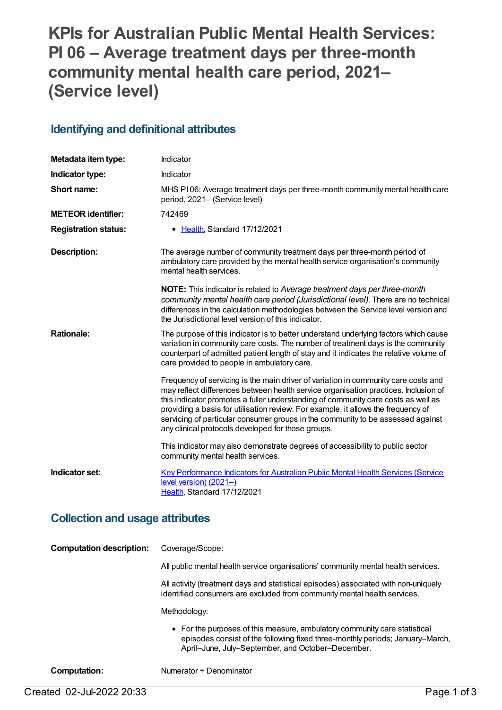# **KPIs for Australian Public Mental Health Services: PI 06 – Average treatment days per three-month community mental health care period, 2021– (Service level)**

#### **Identifying and definitional attributes**

| Metadata item type:         | Indicator                                                                                                                                                                                                                                                                                                                                                                                                                                                                                    |
|-----------------------------|----------------------------------------------------------------------------------------------------------------------------------------------------------------------------------------------------------------------------------------------------------------------------------------------------------------------------------------------------------------------------------------------------------------------------------------------------------------------------------------------|
| Indicator type:             | Indicator                                                                                                                                                                                                                                                                                                                                                                                                                                                                                    |
| Short name:                 | MHS PI06: Average treatment days per three-month community mental health care<br>period, 2021- (Service level)                                                                                                                                                                                                                                                                                                                                                                               |
| <b>METEOR identifier:</b>   | 742469                                                                                                                                                                                                                                                                                                                                                                                                                                                                                       |
| <b>Registration status:</b> | • Health, Standard 17/12/2021                                                                                                                                                                                                                                                                                                                                                                                                                                                                |
| <b>Description:</b>         | The average number of community treatment days per three-month period of<br>ambulatory care provided by the mental health service organisation's community<br>mental health services.                                                                                                                                                                                                                                                                                                        |
|                             | <b>NOTE:</b> This indicator is related to Average treatment days per three-month<br>community mental health care period (Jurisdictional level). There are no technical<br>differences in the calculation methodologies between the Service level version and<br>the Jurisdictional level version of this indicator.                                                                                                                                                                          |
| <b>Rationale:</b>           | The purpose of this indicator is to better understand underlying factors which cause<br>variation in community care costs. The number of treatment days is the community<br>counterpart of admitted patient length of stay and it indicates the relative volume of<br>care provided to people in ambulatory care.                                                                                                                                                                            |
|                             | Frequency of servicing is the main driver of variation in community care costs and<br>may reflect differences between health service organisation practices. Inclusion of<br>this indicator promotes a fuller understanding of community care costs as well as<br>providing a basis for utilisation review. For example, it allows the frequency of<br>servicing of particular consumer groups in the community to be assessed against<br>any clinical protocols developed for those groups. |
|                             | This indicator may also demonstrate degrees of accessibility to public sector<br>community mental health services.                                                                                                                                                                                                                                                                                                                                                                           |
| Indicator set:              | Key Performance Indicators for Australian Public Mental Health Services (Service<br>level version) (2021-)<br>Health, Standard 17/12/2021                                                                                                                                                                                                                                                                                                                                                    |

### **Collection and usage attributes**

| <b>Computation description:</b> | Coverage/Scope:                                                                                                                                                                                                 |
|---------------------------------|-----------------------------------------------------------------------------------------------------------------------------------------------------------------------------------------------------------------|
|                                 | All public mental health service organisations' community mental health services.                                                                                                                               |
|                                 | All activity (treatment days and statistical episodes) associated with non-uniquely<br>identified consumers are excluded from community mental health services.                                                 |
|                                 | Methodology:                                                                                                                                                                                                    |
|                                 | • For the purposes of this measure, ambulatory community care statistical<br>episodes consist of the following fixed three-monthly periods; January–March,<br>April-June, July-September, and October-December. |
| Computation:                    | Numerator ÷ Denominator                                                                                                                                                                                         |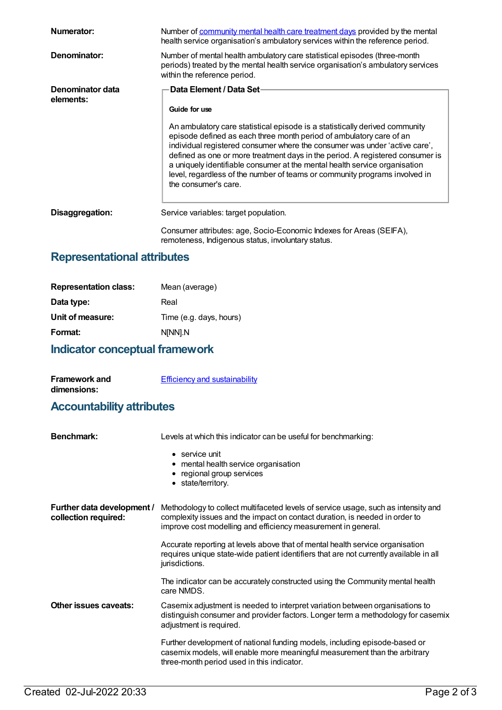| Numerator:                    | Number of community mental health care treatment days provided by the mental<br>health service organisation's ambulatory services within the reference period.                                                                                                                                                                                                                                                                                                                                        |
|-------------------------------|-------------------------------------------------------------------------------------------------------------------------------------------------------------------------------------------------------------------------------------------------------------------------------------------------------------------------------------------------------------------------------------------------------------------------------------------------------------------------------------------------------|
| Denominator:                  | Number of mental health ambulatory care statistical episodes (three-month<br>periods) treated by the mental health service organisation's ambulatory services<br>within the reference period.                                                                                                                                                                                                                                                                                                         |
| Denominator data<br>elements: | Data Element / Data Set-<br>Guide for use                                                                                                                                                                                                                                                                                                                                                                                                                                                             |
|                               | An ambulatory care statistical episode is a statistically derived community<br>episode defined as each three month period of ambulatory care of an<br>individual registered consumer where the consumer was under 'active care',<br>defined as one or more treatment days in the period. A registered consumer is<br>a uniquely identifiable consumer at the mental health service organisation<br>level, regardless of the number of teams or community programs involved in<br>the consumer's care. |
| Disaggregation:               | Service variables: target population.                                                                                                                                                                                                                                                                                                                                                                                                                                                                 |
|                               | Consumer attributes: age, Socio-Economic Indexes for Areas (SEIFA),<br>remoteness, Indigenous status, involuntary status.                                                                                                                                                                                                                                                                                                                                                                             |

## **Representational attributes**

| Mean (average)          |
|-------------------------|
| Real                    |
| Time (e.g. days, hours) |
| N[NN].N                 |
|                         |

## **Indicator conceptual framework**

| <b>Framework and</b>                 | <b>Efficiency and sustainability</b> |
|--------------------------------------|--------------------------------------|
| dimensions:                          |                                      |
| لممة يتماشقون واثالثما والمتستمم وال |                                      |

#### **Accountability attributes**

| <b>Benchmark:</b>                                  | Levels at which this indicator can be useful for benchmarking:                                                                                                                                                                     |
|----------------------------------------------------|------------------------------------------------------------------------------------------------------------------------------------------------------------------------------------------------------------------------------------|
|                                                    | $\bullet$ service unit<br>• mental health service organisation<br>• regional group services<br>• state/territory.                                                                                                                  |
| Further data development /<br>collection required: | Methodology to collect multifaceted levels of service usage, such as intensity and<br>complexity issues and the impact on contact duration, is needed in order to<br>improve cost modelling and efficiency measurement in general. |
|                                                    | Accurate reporting at levels above that of mental health service organisation<br>requires unique state-wide patient identifiers that are not currently available in all<br>jurisdictions.                                          |
|                                                    | The indicator can be accurately constructed using the Community mental health<br>care NMDS.                                                                                                                                        |
| Other issues caveats:                              | Casemix adjustment is needed to interpret variation between organisations to<br>distinguish consumer and provider factors. Longer term a methodology for casemix<br>adjustment is required.                                        |
|                                                    | Further development of national funding models, including episode-based or<br>casemix models, will enable more meaningful measurement than the arbitrary<br>three-month period used in this indicator.                             |